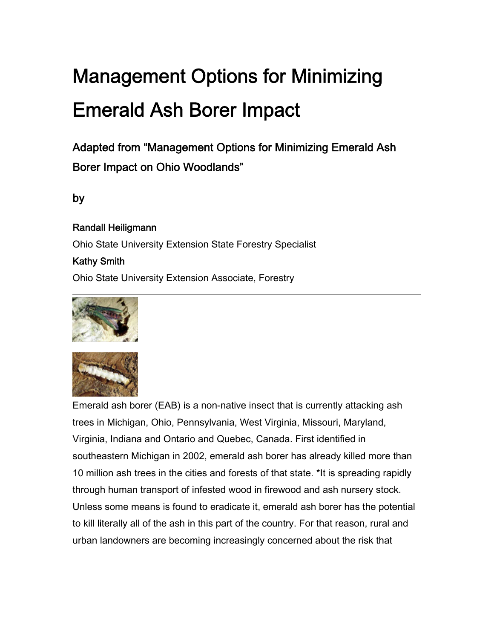# Management Options for Minimizing Emerald Ash Borer Impact

Adapted from "Management Options for Minimizing Emerald Ash Borer Impact on Ohio Woodlands"

## by

Randall Heiligmann Ohio State University Extension State Forestry Specialist Kathy Smith Ohio State University Extension Associate, Forestry





Emerald ash borer (EAB) is a non-native insect that is currently attacking ash trees in Michigan, Ohio, Pennsylvania, West Virginia, Missouri, Maryland, Virginia, Indiana and Ontario and Quebec, Canada. First identified in southeastern Michigan in 2002, emerald ash borer has already killed more than 10 million ash trees in the cities and forests of that state. \*It is spreading rapidly through human transport of infested wood in firewood and ash nursery stock. Unless some means is found to eradicate it, emerald ash borer has the potential to kill literally all of the ash in this part of the country. For that reason, rural and urban landowners are becoming increasingly concerned about the risk that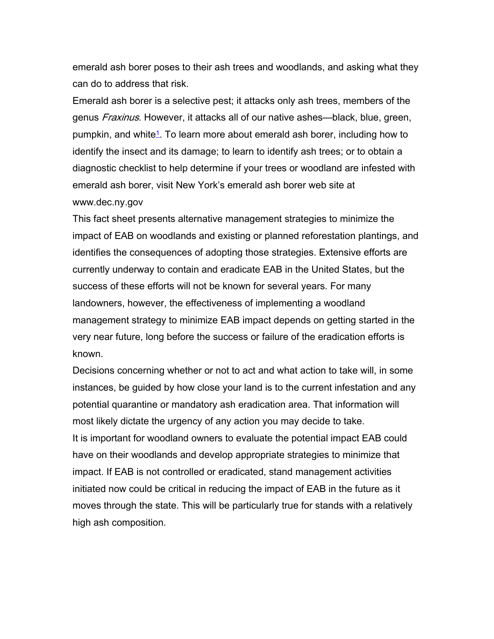emerald ash borer poses to their ash trees and woodlands, and asking what they can do to address that risk.

Emerald ash borer is a selective pest; it attacks only ash trees, members of the genus *Fraxinus*. However, it attacks all of our native ashes—black, blue, green, pumpkin, and white<sup>1</sup>. To learn more about emerald ash borer, including how to identify the insect and its damage; to learn to identify ash trees; or to obtain a diagnostic checklist to help determine if your trees or woodland are infested with emerald ash borer, visit New York's emerald ash borer web site at www.dec.ny.gov

This fact sheet presents alternative management strategies to minimize the impact of EAB on woodlands and existing or planned reforestation plantings, and identifies the consequences of adopting those strategies. Extensive efforts are currently underway to contain and eradicate EAB in the United States, but the success of these efforts will not be known for several years. For many landowners, however, the effectiveness of implementing a woodland management strategy to minimize EAB impact depends on getting started in the very near future, long before the success or failure of the eradication efforts is known.

Decisions concerning whether or not to act and what action to take will, in some instances, be guided by how close your land is to the current infestation and any potential quarantine or mandatory ash eradication area. That information will most likely dictate the urgency of any action you may decide to take. It is important for woodland owners to evaluate the potential impact EAB could have on their woodlands and develop appropriate strategies to minimize that impact. If EAB is not controlled or eradicated, stand management activities initiated now could be critical in reducing the impact of EAB in the future as it moves through the state. This will be particularly true for stands with a relatively high ash composition.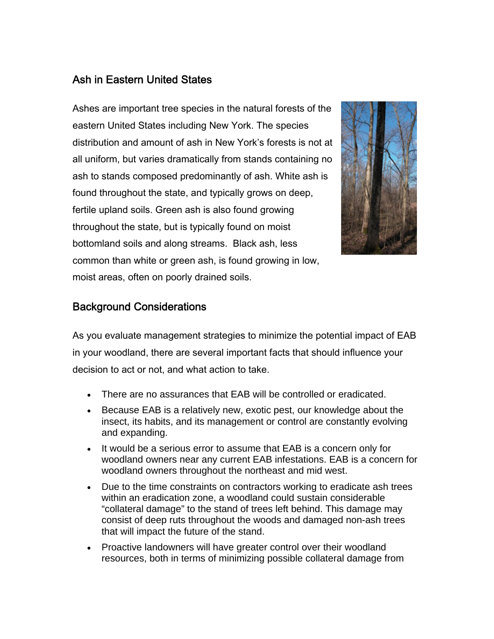## Ash in Eastern United States

Ashes are important tree species in the natural forests of the eastern United States including New York. The species distribution and amount of ash in New York's forests is not at all uniform, but varies dramatically from stands containing no ash to stands composed predominantly of ash. White ash is found throughout the state, and typically grows on deep, fertile upland soils. Green ash is also found growing throughout the state, but is typically found on moist bottomland soils and along streams. Black ash, less common than white or green ash, is found growing in low, moist areas, often on poorly drained soils.



#### Background Considerations

As you evaluate management strategies to minimize the potential impact of EAB in your woodland, there are several important facts that should influence your decision to act or not, and what action to take.

- There are no assurances that EAB will be controlled or eradicated.
- Because EAB is a relatively new, exotic pest, our knowledge about the insect, its habits, and its management or control are constantly evolving and expanding.
- It would be a serious error to assume that EAB is a concern only for woodland owners near any current EAB infestations. EAB is a concern for woodland owners throughout the northeast and mid west.
- Due to the time constraints on contractors working to eradicate ash trees within an eradication zone, a woodland could sustain considerable "collateral damage" to the stand of trees left behind. This damage may consist of deep ruts throughout the woods and damaged non-ash trees that will impact the future of the stand.
- Proactive landowners will have greater control over their woodland resources, both in terms of minimizing possible collateral damage from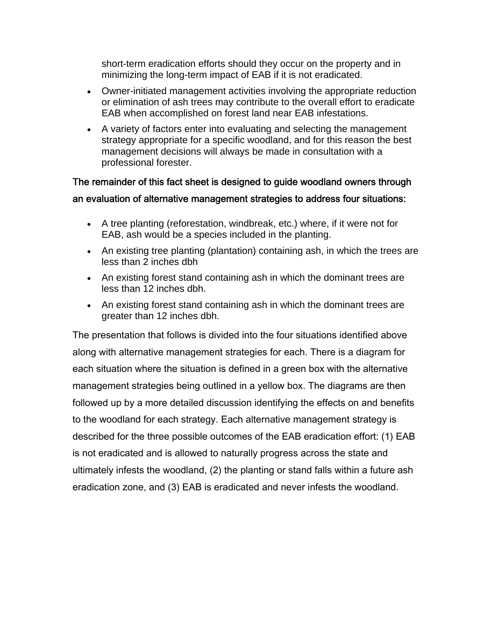short-term eradication efforts should they occur on the property and in minimizing the long-term impact of EAB if it is not eradicated.

- Owner-initiated management activities involving the appropriate reduction or elimination of ash trees may contribute to the overall effort to eradicate EAB when accomplished on forest land near EAB infestations.
- A variety of factors enter into evaluating and selecting the management strategy appropriate for a specific woodland, and for this reason the best management decisions will always be made in consultation with a professional forester.

#### The remainder of this fact sheet is designed to guide woodland owners through an evaluation of alternative management strategies to address four situations:

- A tree planting (reforestation, windbreak, etc.) where, if it were not for EAB, ash would be a species included in the planting.
- An existing tree planting (plantation) containing ash, in which the trees are less than 2 inches dbh
- An existing forest stand containing ash in which the dominant trees are less than 12 inches dbh.
- An existing forest stand containing ash in which the dominant trees are greater than 12 inches dbh.

The presentation that follows is divided into the four situations identified above along with alternative management strategies for each. There is a diagram for each situation where the situation is defined in a green box with the alternative management strategies being outlined in a yellow box. The diagrams are then followed up by a more detailed discussion identifying the effects on and benefits to the woodland for each strategy. Each alternative management strategy is described for the three possible outcomes of the EAB eradication effort: (1) EAB is not eradicated and is allowed to naturally progress across the state and ultimately infests the woodland, (2) the planting or stand falls within a future ash eradication zone, and (3) EAB is eradicated and never infests the woodland.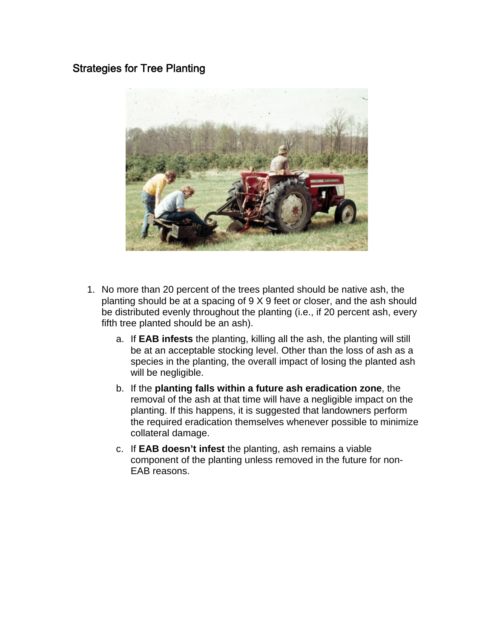#### Strategies for Tree Planting



- 1. No more than 20 percent of the trees planted should be native ash, the planting should be at a spacing of 9 X 9 feet or closer, and the ash should be distributed evenly throughout the planting (i.e., if 20 percent ash, every fifth tree planted should be an ash).
	- a. If **EAB infests** the planting, killing all the ash, the planting will still be at an acceptable stocking level. Other than the loss of ash as a species in the planting, the overall impact of losing the planted ash will be negligible.
	- b. If the **planting falls within a future ash eradication zone**, the removal of the ash at that time will have a negligible impact on the planting. If this happens, it is suggested that landowners perform the required eradication themselves whenever possible to minimize collateral damage.
	- c. If **EAB doesn't infest** the planting, ash remains a viable component of the planting unless removed in the future for non-EAB reasons.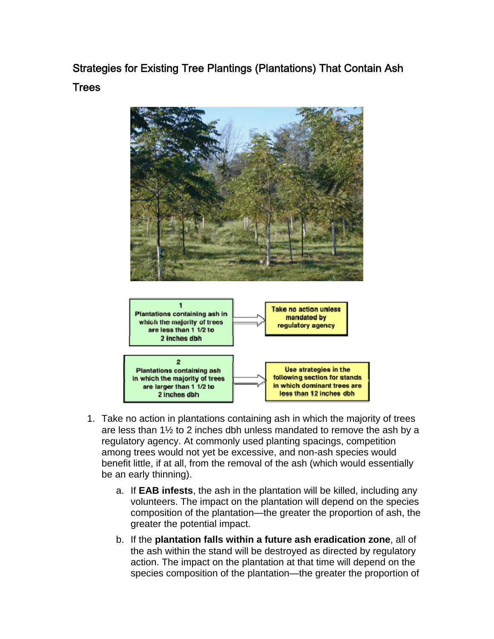Strategies for Existing Tree Plantings (Plantations) That Contain Ash Trees



- 1. Take no action in plantations containing ash in which the majority of trees are less than 1½ to 2 inches dbh unless mandated to remove the ash by a regulatory agency. At commonly used planting spacings, competition among trees would not yet be excessive, and non-ash species would benefit little, if at all, from the removal of the ash (which would essentially be an early thinning).
	- a. If **EAB infests**, the ash in the plantation will be killed, including any volunteers. The impact on the plantation will depend on the species composition of the plantation—the greater the proportion of ash, the greater the potential impact.
	- b. If the **plantation falls within a future ash eradication zone**, all of the ash within the stand will be destroyed as directed by regulatory action. The impact on the plantation at that time will depend on the species composition of the plantation—the greater the proportion of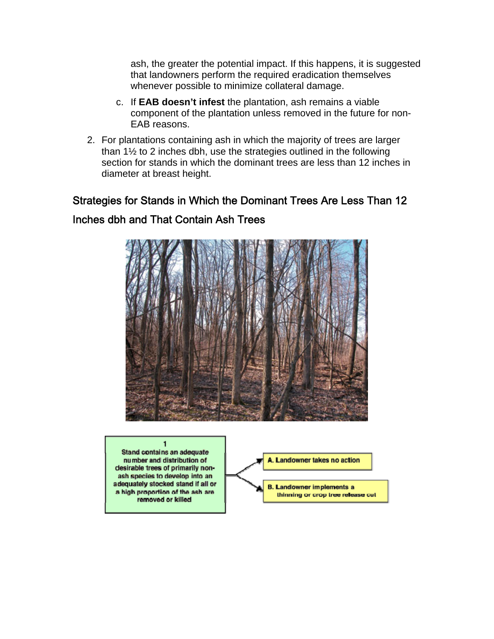ash, the greater the potential impact. If this happens, it is suggested that landowners perform the required eradication themselves whenever possible to minimize collateral damage.

- c. If **EAB doesn't infest** the plantation, ash remains a viable component of the plantation unless removed in the future for non-EAB reasons.
- 2. For plantations containing ash in which the majority of trees are larger than 1½ to 2 inches dbh, use the strategies outlined in the following section for stands in which the dominant trees are less than 12 inches in diameter at breast height.

# Strategies for Stands in Which the Dominant Trees Are Less Than 12 Inches dbh and That Contain Ash Trees



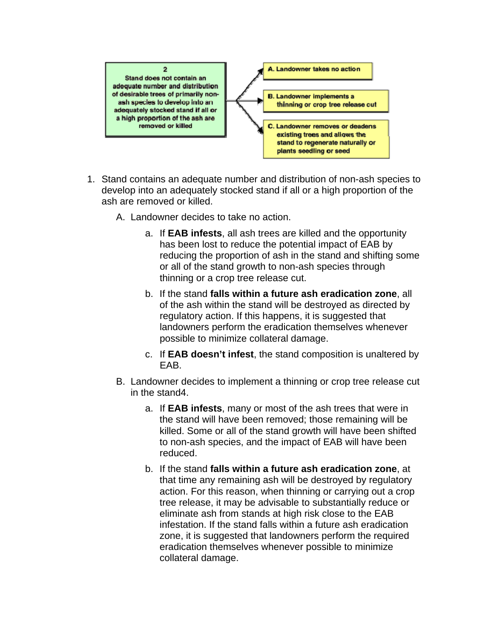

- 1. Stand contains an adequate number and distribution of non-ash species to develop into an adequately stocked stand if all or a high proportion of the ash are removed or killed.
	- A. Landowner decides to take no action.
		- a. If **EAB infests**, all ash trees are killed and the opportunity has been lost to reduce the potential impact of EAB by reducing the proportion of ash in the stand and shifting some or all of the stand growth to non-ash species through thinning or a crop tree release cut.
		- b. If the stand **falls within a future ash eradication zone**, all of the ash within the stand will be destroyed as directed by regulatory action. If this happens, it is suggested that landowners perform the eradication themselves whenever possible to minimize collateral damage.
		- c. If **EAB doesn't infest**, the stand composition is unaltered by EAB.
	- B. Landowner decides to implement a thinning or crop tree release cut in the stand4.
		- a. If **EAB infests**, many or most of the ash trees that were in the stand will have been removed; those remaining will be killed. Some or all of the stand growth will have been shifted to non-ash species, and the impact of EAB will have been reduced.
		- b. If the stand **falls within a future ash eradication zone**, at that time any remaining ash will be destroyed by regulatory action. For this reason, when thinning or carrying out a crop tree release, it may be advisable to substantially reduce or eliminate ash from stands at high risk close to the EAB infestation. If the stand falls within a future ash eradication zone, it is suggested that landowners perform the required eradication themselves whenever possible to minimize collateral damage.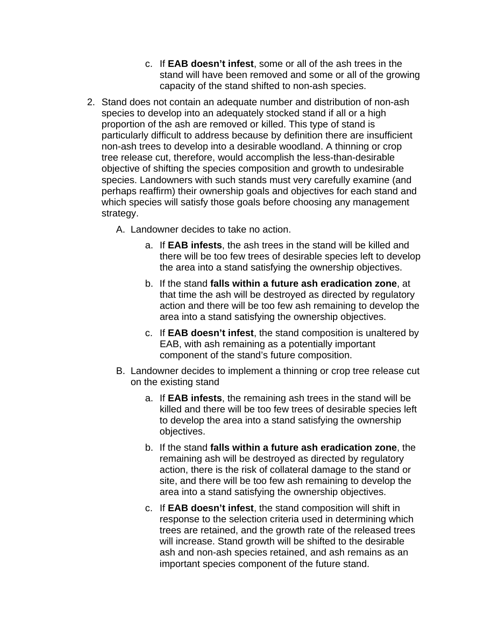- c. If **EAB doesn't infest**, some or all of the ash trees in the stand will have been removed and some or all of the growing capacity of the stand shifted to non-ash species.
- 2. Stand does not contain an adequate number and distribution of non-ash species to develop into an adequately stocked stand if all or a high proportion of the ash are removed or killed. This type of stand is particularly difficult to address because by definition there are insufficient non-ash trees to develop into a desirable woodland. A thinning or crop tree release cut, therefore, would accomplish the less-than-desirable objective of shifting the species composition and growth to undesirable species. Landowners with such stands must very carefully examine (and perhaps reaffirm) their ownership goals and objectives for each stand and which species will satisfy those goals before choosing any management strategy.

A. Landowner decides to take no action.

- a. If **EAB infests**, the ash trees in the stand will be killed and there will be too few trees of desirable species left to develop the area into a stand satisfying the ownership objectives.
- b. If the stand **falls within a future ash eradication zone**, at that time the ash will be destroyed as directed by regulatory action and there will be too few ash remaining to develop the area into a stand satisfying the ownership objectives.
- c. If **EAB doesn't infest**, the stand composition is unaltered by EAB, with ash remaining as a potentially important component of the stand's future composition.
- B. Landowner decides to implement a thinning or crop tree release cut on the existing stand
	- a. If **EAB infests**, the remaining ash trees in the stand will be killed and there will be too few trees of desirable species left to develop the area into a stand satisfying the ownership objectives.
	- b. If the stand **falls within a future ash eradication zone**, the remaining ash will be destroyed as directed by regulatory action, there is the risk of collateral damage to the stand or site, and there will be too few ash remaining to develop the area into a stand satisfying the ownership objectives.
	- c. If **EAB doesn't infest**, the stand composition will shift in response to the selection criteria used in determining which trees are retained, and the growth rate of the released trees will increase. Stand growth will be shifted to the desirable ash and non-ash species retained, and ash remains as an important species component of the future stand.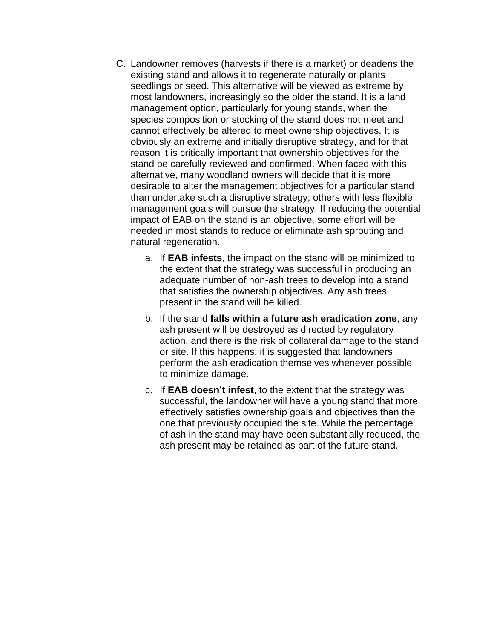- C. Landowner removes (harvests if there is a market) or deadens the existing stand and allows it to regenerate naturally or plants seedlings or seed. This alternative will be viewed as extreme by most landowners, increasingly so the older the stand. It is a land management option, particularly for young stands, when the species composition or stocking of the stand does not meet and cannot effectively be altered to meet ownership objectives. It is obviously an extreme and initially disruptive strategy, and for that reason it is critically important that ownership objectives for the stand be carefully reviewed and confirmed. When faced with this alternative, many woodland owners will decide that it is more desirable to alter the management objectives for a particular stand than undertake such a disruptive strategy; others with less flexible management goals will pursue the strategy. If reducing the potential impact of EAB on the stand is an objective, some effort will be needed in most stands to reduce or eliminate ash sprouting and natural regeneration.
	- a. If **EAB infests**, the impact on the stand will be minimized to the extent that the strategy was successful in producing an adequate number of non-ash trees to develop into a stand that satisfies the ownership objectives. Any ash trees present in the stand will be killed.
	- b. If the stand **falls within a future ash eradication zone**, any ash present will be destroyed as directed by regulatory action, and there is the risk of collateral damage to the stand or site. If this happens, it is suggested that landowners perform the ash eradication themselves whenever possible to minimize damage.
	- c. If **EAB doesn't infest**, to the extent that the strategy was successful, the landowner will have a young stand that more effectively satisfies ownership goals and objectives than the one that previously occupied the site. While the percentage of ash in the stand may have been substantially reduced, the ash present may be retained as part of the future stand.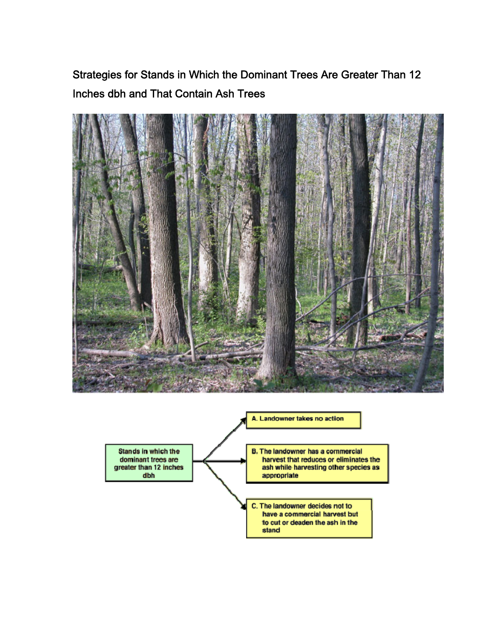Strategies for Stands in Which the Dominant Trees Are Greater Than 12 Inches dbh and That Contain Ash Trees



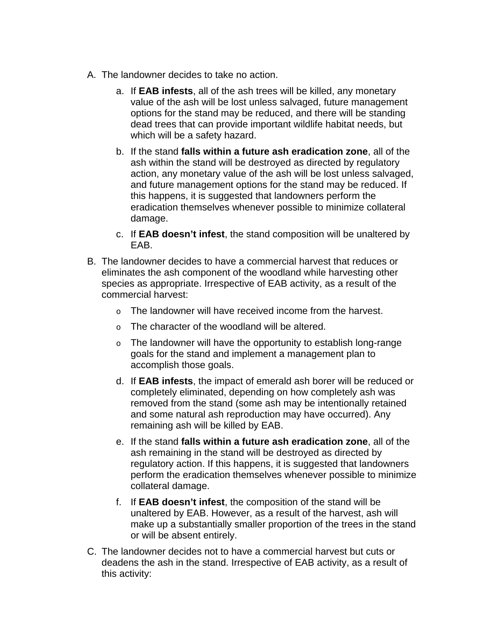- A. The landowner decides to take no action.
	- a. If **EAB infests**, all of the ash trees will be killed, any monetary value of the ash will be lost unless salvaged, future management options for the stand may be reduced, and there will be standing dead trees that can provide important wildlife habitat needs, but which will be a safety hazard.
	- b. If the stand **falls within a future ash eradication zone**, all of the ash within the stand will be destroyed as directed by regulatory action, any monetary value of the ash will be lost unless salvaged, and future management options for the stand may be reduced. If this happens, it is suggested that landowners perform the eradication themselves whenever possible to minimize collateral damage.
	- c. If **EAB doesn't infest**, the stand composition will be unaltered by EAB.
- B. The landowner decides to have a commercial harvest that reduces or eliminates the ash component of the woodland while harvesting other species as appropriate. Irrespective of EAB activity, as a result of the commercial harvest:
	- o The landowner will have received income from the harvest.
	- o The character of the woodland will be altered.
	- $\circ$  The landowner will have the opportunity to establish long-range goals for the stand and implement a management plan to accomplish those goals.
	- d. If **EAB infests**, the impact of emerald ash borer will be reduced or completely eliminated, depending on how completely ash was removed from the stand (some ash may be intentionally retained and some natural ash reproduction may have occurred). Any remaining ash will be killed by EAB.
	- e. If the stand **falls within a future ash eradication zone**, all of the ash remaining in the stand will be destroyed as directed by regulatory action. If this happens, it is suggested that landowners perform the eradication themselves whenever possible to minimize collateral damage.
	- f. If **EAB doesn't infest**, the composition of the stand will be unaltered by EAB. However, as a result of the harvest, ash will make up a substantially smaller proportion of the trees in the stand or will be absent entirely.
- C. The landowner decides not to have a commercial harvest but cuts or deadens the ash in the stand. Irrespective of EAB activity, as a result of this activity: